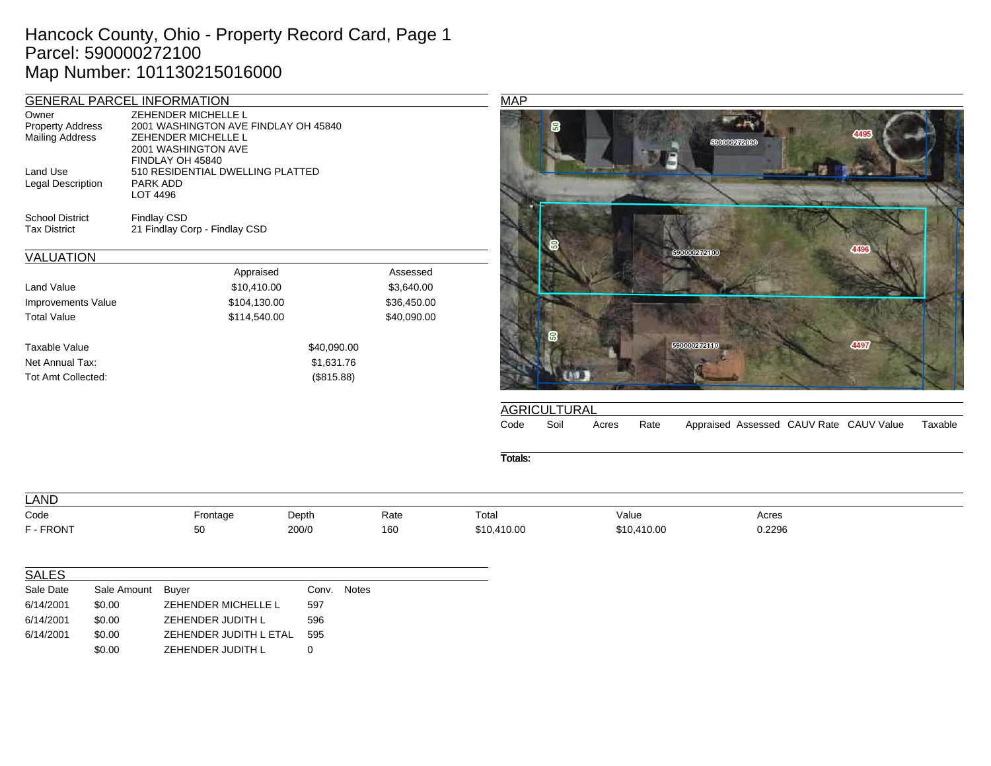## Hancock County, Ohio - Property Record Card, Page 1 Parcel: 590000272100 Map Number: 101130215016000

|                                                     | <b>GENERAL PARCEL INFORMATION</b>    |          |
|-----------------------------------------------------|--------------------------------------|----------|
| Owner                                               | ZEHENDER MICHELLE L                  |          |
| <b>Property Address</b>                             | 2001 WASHINGTON AVE FINDLAY OH 45840 |          |
| <b>Mailing Address</b>                              | ZEHENDER MICHELLE L                  |          |
|                                                     | 2001 WASHINGTON AVE                  |          |
|                                                     | FINDLAY OH 45840                     |          |
| Land Use                                            | 510 RESIDENTIAL DWELLING PLATTED     |          |
| Legal Description                                   | PARK ADD                             |          |
|                                                     | LOT 4496                             |          |
| <b>School District</b>                              | <b>Findlay CSD</b>                   |          |
| <b>Tax District</b>                                 | 21 Findlay Corp - Findlay CSD        |          |
| <b>VALUATION</b>                                    |                                      |          |
|                                                     | Appraised                            | Assessed |
| $\mathbf{1}$ $\mathbf{1}$ $\mathbf{1}$ $\mathbf{1}$ | .                                    | $\cdots$ |

| Land Value         | \$10,410.00  | \$3,640.00  |
|--------------------|--------------|-------------|
| Improvements Value | \$104,130.00 | \$36,450.00 |
| <b>Total Value</b> | \$114,540.00 | \$40,090.00 |
|                    |              |             |
| Taxable Value      | \$40,090.00  |             |
| Net Annual Tax:    | \$1,631.76   |             |
| Tot Amt Collected: | (\$815.88)   |             |
|                    |              |             |



|      | <b>AGRICULTURAL</b> |       |      |  |                                         |         |
|------|---------------------|-------|------|--|-----------------------------------------|---------|
| Code | Soil                | Acres | Rate |  | Appraised Assessed CAUV Rate CAUV Value | Taxable |

Totals:

| LAND      |          |       |      |             |             |        |  |
|-----------|----------|-------|------|-------------|-------------|--------|--|
| Code      | Frontage | Depth | Rate | Total       | Value       | Acres  |  |
| F - FRONT | 50       | 200/0 | 160  | \$10,410.00 | \$10,410.00 | 0.2296 |  |
|           |          |       |      |             |             |        |  |
|           |          |       |      |             |             |        |  |

| <b>SALES</b> |             |                        |       |              |
|--------------|-------------|------------------------|-------|--------------|
| Sale Date    | Sale Amount | Buyer                  | Conv. | <b>Notes</b> |
| 6/14/2001    | \$0.00      | ZEHENDER MICHELLE L    | 597   |              |
| 6/14/2001    | \$0.00      | ZEHENDER JUDITH L      | 596   |              |
| 6/14/2001    | \$0.00      | ZEHENDER JUDITH L ETAL | 595   |              |
|              | \$0.00      | ZEHENDER JUDITH L      | 0     |              |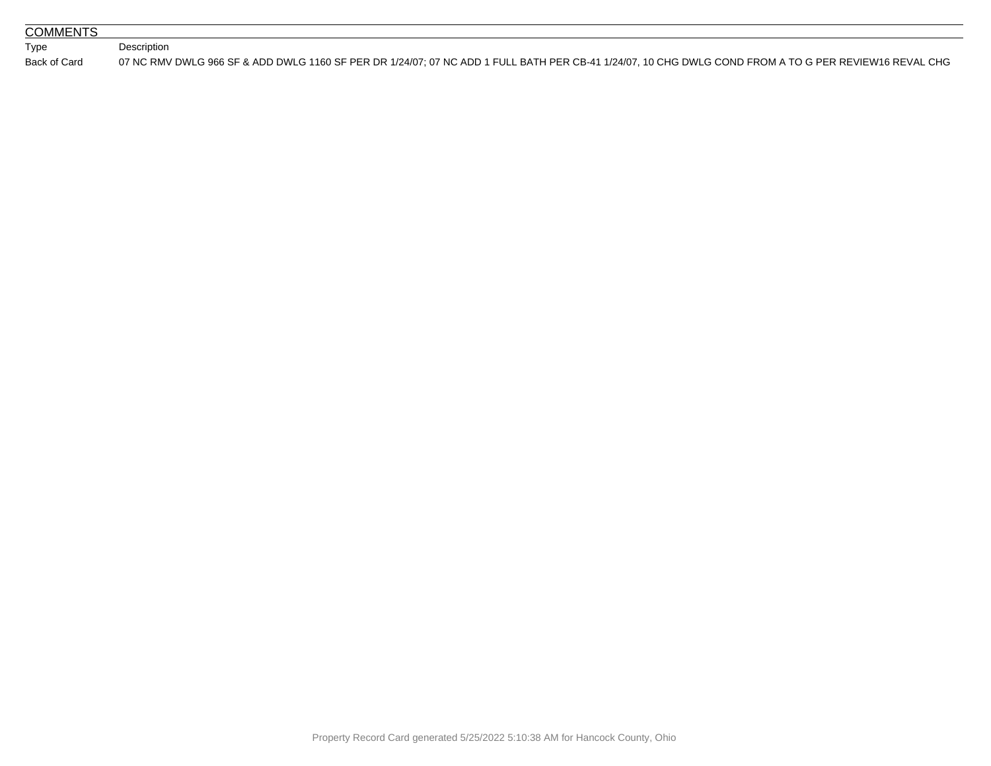| <b>COMMENTS</b> |                                                                                                                                                       |
|-----------------|-------------------------------------------------------------------------------------------------------------------------------------------------------|
| Type            | Description                                                                                                                                           |
| Back of Card    | 07 NC RMV DWLG 966 SF & ADD DWLG 1160 SF PER DR 1/24/07: 07 NC ADD 1 FULL BATH PER CB-41 1/24/07. 10 CHG DWLG COND FROM A TO G PER REVIEW16 REVAL CHG |